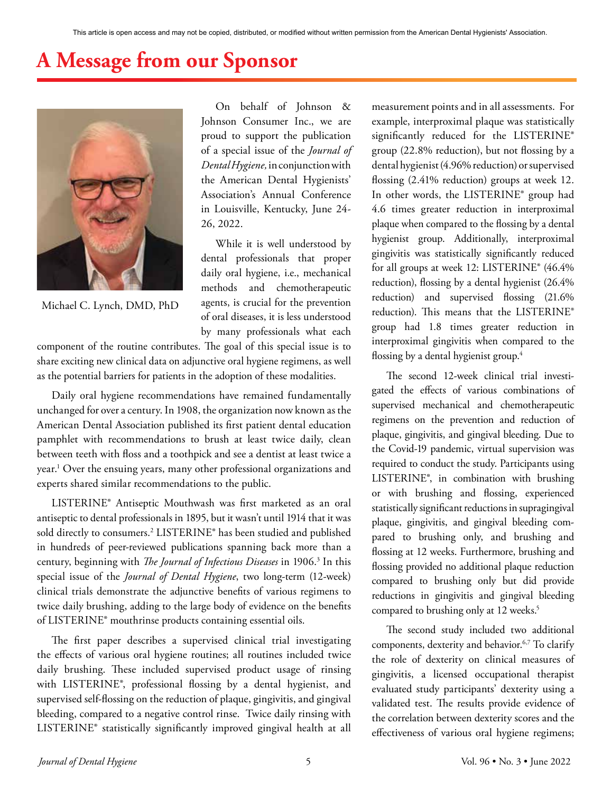## **A Message from our Sponsor**



Michael C. Lynch, DMD, PhD

On behalf of Johnson & Johnson Consumer Inc., we are proud to support the publication of a special issue of the *Journal of Dental Hygiene,* in conjunction with the American Dental Hygienists' Association's Annual Conference in Louisville, Kentucky, June 24- 26, 2022.

While it is well understood by dental professionals that proper daily oral hygiene, i.e., mechanical methods and chemotherapeutic agents, is crucial for the prevention of oral diseases, it is less understood by many professionals what each

component of the routine contributes. The goal of this special issue is to share exciting new clinical data on adjunctive oral hygiene regimens, as well as the potential barriers for patients in the adoption of these modalities.

Daily oral hygiene recommendations have remained fundamentally unchanged for over a century. In 1908, the organization now known as the American Dental Association published its first patient dental education pamphlet with recommendations to brush at least twice daily, clean between teeth with floss and a toothpick and see a dentist at least twice a year.1 Over the ensuing years, many other professional organizations and experts shared similar recommendations to the public.

LISTERINE® Antiseptic Mouthwash was first marketed as an oral antiseptic to dental professionals in 1895, but it wasn't until 1914 that it was sold directly to consumers.2 LISTERINE® has been studied and published in hundreds of peer-reviewed publications spanning back more than a century, beginning with *The Journal of Infectious Diseases* in 1906.3 In this special issue of the *Journal of Dental Hygiene*, two long-term (12-week) clinical trials demonstrate the adjunctive benefits of various regimens to twice daily brushing, adding to the large body of evidence on the benefits of LISTERINE® mouthrinse products containing essential oils.

The first paper describes a supervised clinical trial investigating the effects of various oral hygiene routines; all routines included twice daily brushing. These included supervised product usage of rinsing with LISTERINE®, professional flossing by a dental hygienist, and supervised self-flossing on the reduction of plaque, gingivitis, and gingival bleeding, compared to a negative control rinse. Twice daily rinsing with LISTERINE® statistically significantly improved gingival health at all measurement points and in all assessments. For example, interproximal plaque was statistically significantly reduced for the LISTERINE® group (22.8% reduction), but not flossing by a dental hygienist (4.96% reduction) or supervised flossing (2.41% reduction) groups at week 12. In other words, the LISTERINE® group had 4.6 times greater reduction in interproximal plaque when compared to the flossing by a dental hygienist group. Additionally, interproximal gingivitis was statistically significantly reduced for all groups at week 12: LISTERINE® (46.4% reduction), flossing by a dental hygienist (26.4% reduction) and supervised flossing (21.6% reduction). This means that the LISTERINE® group had 1.8 times greater reduction in interproximal gingivitis when compared to the flossing by a dental hygienist group.<sup>4</sup>

The second 12-week clinical trial investigated the effects of various combinations of supervised mechanical and chemotherapeutic regimens on the prevention and reduction of plaque, gingivitis, and gingival bleeding. Due to the Covid-19 pandemic, virtual supervision was required to conduct the study. Participants using LISTERINE®, in combination with brushing or with brushing and flossing, experienced statistically significant reductions in supragingival plaque, gingivitis, and gingival bleeding compared to brushing only, and brushing and flossing at 12 weeks. Furthermore, brushing and flossing provided no additional plaque reduction compared to brushing only but did provide reductions in gingivitis and gingival bleeding compared to brushing only at 12 weeks.<sup>5</sup>

The second study included two additional components, dexterity and behavior.<sup>6,7</sup> To clarify the role of dexterity on clinical measures of gingivitis, a licensed occupational therapist evaluated study participants' dexterity using a validated test. The results provide evidence of the correlation between dexterity scores and the effectiveness of various oral hygiene regimens;